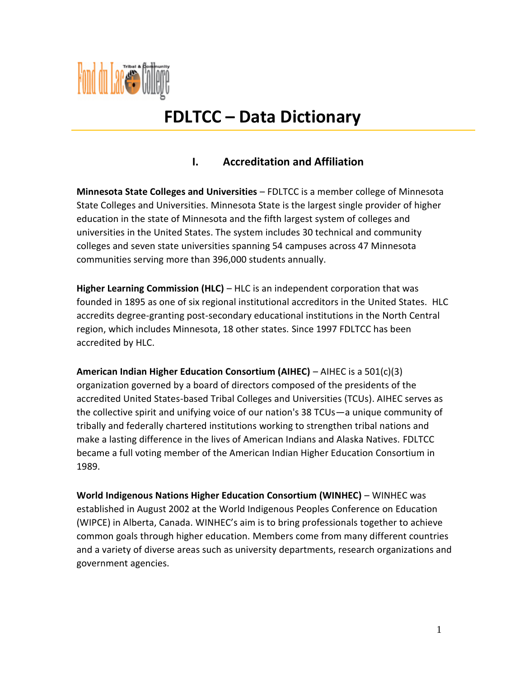

# **FDLTCC – Data Dictionary**

# **I. Accreditation and Affiliation**

**Minnesota State Colleges and Universities** – FDLTCC is a member college of Minnesota State Colleges and Universities. Minnesota State is the largest single provider of higher education in the state of Minnesota and the fifth largest system of colleges and universities in the United States. The system includes 30 technical and community colleges and seven state universities spanning 54 campuses across 47 Minnesota communities serving more than 396,000 students annually.

**Higher Learning Commission (HLC)** – HLC is an independent corporation that was founded in 1895 as one of six regional institutional accreditors in the United States. HLC accredits degree-granting post-secondary educational institutions in the North Central region, which includes Minnesota, 18 other states. Since 1997 FDLTCC has been accredited by HLC.

**American Indian Higher Education Consortium (AIHEC)** – AIHEC is a 501(c)(3) organization governed by a board of directors composed of the presidents of the accredited United States-based Tribal Colleges and Universities (TCUs). AIHEC serves as the collective spirit and unifying voice of our nation's 38 TCUs—a unique community of tribally and federally chartered institutions working to strengthen tribal nations and make a lasting difference in the lives of American Indians and Alaska Natives. FDLTCC became a full voting member of the American Indian Higher Education Consortium in 1989.

**World Indigenous Nations Higher Education Consortium (WINHEC)** – WINHEC was established in August 2002 at the World Indigenous Peoples Conference on Education (WIPCE) in Alberta, Canada. WINHEC's aim is to bring professionals together to achieve common goals through higher education. Members come from many different countries and a variety of diverse areas such as university departments, research organizations and government agencies.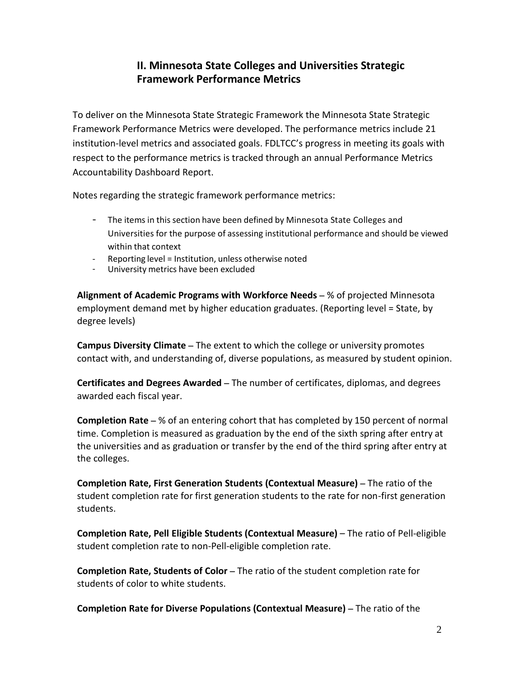## **II. Minnesota State Colleges and Universities Strategic Framework Performance Metrics**

To deliver on the Minnesota State Strategic Framework the Minnesota State Strategic Framework Performance Metrics were developed. The performance metrics include 21 institution-level metrics and associated goals. FDLTCC's progress in meeting its goals with respect to the performance metrics is tracked through an annual Performance Metrics Accountability Dashboard Report.

Notes regarding the strategic framework performance metrics:

- The items in this section have been defined by Minnesota State Colleges and Universities for the purpose of assessing institutional performance and should be viewed within that context
- Reporting level = Institution, unless otherwise noted
- University metrics have been excluded

**Alignment of Academic Programs with Workforce Needs** – % of projected Minnesota employment demand met by higher education graduates. (Reporting level = State, by degree levels)

**Campus Diversity Climate** – The extent to which the college or university promotes contact with, and understanding of, diverse populations, as measured by student opinion.

**Certificates and Degrees Awarded** – The number of certificates, diplomas, and degrees awarded each fiscal year.

**Completion Rate** – % of an entering cohort that has completed by 150 percent of normal time. Completion is measured as graduation by the end of the sixth spring after entry at the universities and as graduation or transfer by the end of the third spring after entry at the colleges.

**Completion Rate, First Generation Students (Contextual Measure)** – The ratio of the student completion rate for first generation students to the rate for non-first generation students.

**Completion Rate, Pell Eligible Students (Contextual Measure)** – The ratio of Pell-eligible student completion rate to non-Pell-eligible completion rate.

**Completion Rate, Students of Color** – The ratio of the student completion rate for students of color to white students.

**Completion Rate for Diverse Populations (Contextual Measure)** – The ratio of the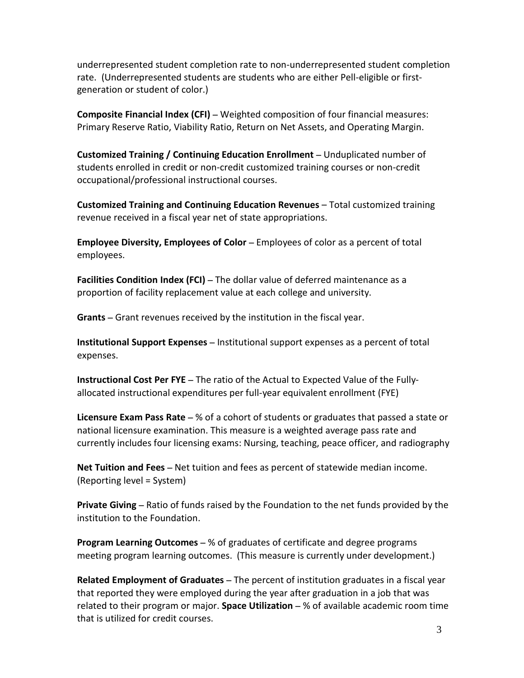underrepresented student completion rate to non-underrepresented student completion rate. (Underrepresented students are students who are either Pell-eligible or firstgeneration or student of color.)

**Composite Financial Index (CFI)** – Weighted composition of four financial measures: Primary Reserve Ratio, Viability Ratio, Return on Net Assets, and Operating Margin.

**Customized Training / Continuing Education Enrollment** – Unduplicated number of students enrolled in credit or non-credit customized training courses or non-credit occupational/professional instructional courses.

**Customized Training and Continuing Education Revenues** – Total customized training revenue received in a fiscal year net of state appropriations.

**Employee Diversity, Employees of Color** – Employees of color as a percent of total employees.

**Facilities Condition Index (FCI)** – The dollar value of deferred maintenance as a proportion of facility replacement value at each college and university.

**Grants** – Grant revenues received by the institution in the fiscal year.

**Institutional Support Expenses** – Institutional support expenses as a percent of total expenses.

**Instructional Cost Per FYE** – The ratio of the Actual to Expected Value of the Fullyallocated instructional expenditures per full-year equivalent enrollment (FYE)

**Licensure Exam Pass Rate** – % of a cohort of students or graduates that passed a state or national licensure examination. This measure is a weighted average pass rate and currently includes four licensing exams: Nursing, teaching, peace officer, and radiography

**Net Tuition and Fees** – Net tuition and fees as percent of statewide median income. (Reporting level = System)

**Private Giving** – Ratio of funds raised by the Foundation to the net funds provided by the institution to the Foundation.

**Program Learning Outcomes** – % of graduates of certificate and degree programs meeting program learning outcomes. (This measure is currently under development.)

**Related Employment of Graduates** – The percent of institution graduates in a fiscal year that reported they were employed during the year after graduation in a job that was related to their program or major. **Space Utilization** – % of available academic room time that is utilized for credit courses.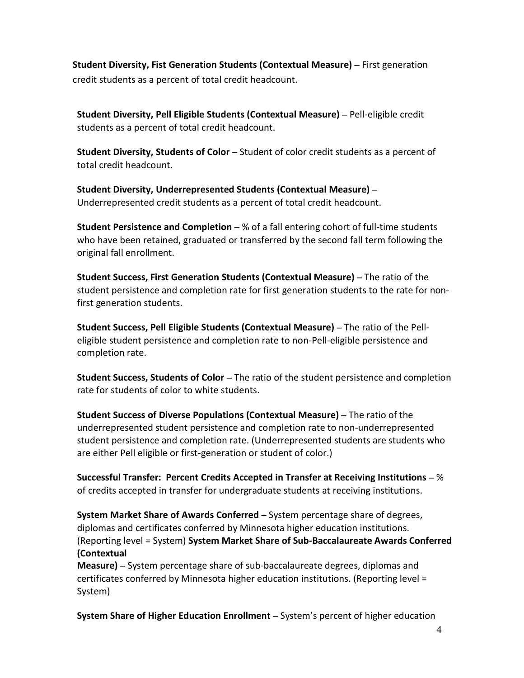**Student Diversity, Fist Generation Students (Contextual Measure)** – First generation credit students as a percent of total credit headcount.

**Student Diversity, Pell Eligible Students (Contextual Measure)** – Pell-eligible credit students as a percent of total credit headcount.

**Student Diversity, Students of Color** – Student of color credit students as a percent of total credit headcount.

**Student Diversity, Underrepresented Students (Contextual Measure)** – Underrepresented credit students as a percent of total credit headcount.

**Student Persistence and Completion** – % of a fall entering cohort of full-time students who have been retained, graduated or transferred by the second fall term following the original fall enrollment.

**Student Success, First Generation Students (Contextual Measure)** – The ratio of the student persistence and completion rate for first generation students to the rate for nonfirst generation students.

**Student Success, Pell Eligible Students (Contextual Measure)** – The ratio of the Pelleligible student persistence and completion rate to non-Pell-eligible persistence and completion rate.

**Student Success, Students of Color** – The ratio of the student persistence and completion rate for students of color to white students.

**Student Success of Diverse Populations (Contextual Measure)** – The ratio of the underrepresented student persistence and completion rate to non-underrepresented student persistence and completion rate. (Underrepresented students are students who are either Pell eligible or first-generation or student of color.)

**Successful Transfer: Percent Credits Accepted in Transfer at Receiving Institutions** – % of credits accepted in transfer for undergraduate students at receiving institutions.

**System Market Share of Awards Conferred** – System percentage share of degrees, diplomas and certificates conferred by Minnesota higher education institutions. (Reporting level = System) **System Market Share of Sub-Baccalaureate Awards Conferred (Contextual**

**Measure)** – System percentage share of sub-baccalaureate degrees, diplomas and certificates conferred by Minnesota higher education institutions. (Reporting level = System)

**System Share of Higher Education Enrollment** – System's percent of higher education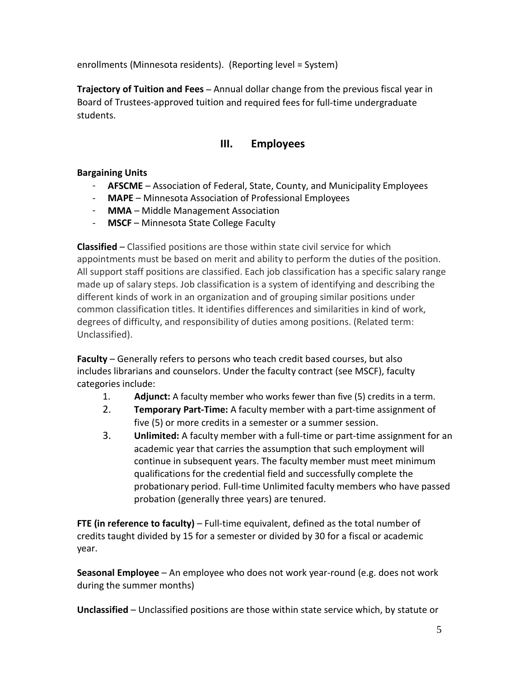enrollments (Minnesota residents). (Reporting level = System)

**Trajectory of Tuition and Fees** – Annual dollar change from the previous fiscal year in Board of Trustees-approved tuition and required fees for full-time undergraduate students.

# **III. Employees**

## **Bargaining Units**

- **AFSCME** Association of Federal, State, County, and Municipality Employees
- **MAPE** Minnesota Association of Professional Employees
- **MMA**  Middle Management Association
- **MSCF** Minnesota State College Faculty

**Classified** – Classified positions are those within state civil service for which appointments must be based on merit and ability to perform the duties of the position. All support staff positions are classified. Each job classification has a specific salary range made up of salary steps. Job classification is a system of identifying and describing the different kinds of work in an organization and of grouping similar positions under common classification titles. It identifies differences and similarities in kind of work, degrees of difficulty, and responsibility of duties among positions. (Related term: Unclassified).

**Faculty** – Generally refers to persons who teach credit based courses, but also includes librarians and counselors. Under the faculty contract (see MSCF), faculty categories include:

- 1. **Adjunct:** A faculty member who works fewer than five (5) credits in a term.
- 2. **Temporary Part-Time:** A faculty member with a part-time assignment of five (5) or more credits in a semester or a summer session.
- 3. **Unlimited:** A faculty member with a full-time or part-time assignment for an academic year that carries the assumption that such employment will continue in subsequent years. The faculty member must meet minimum qualifications for the credential field and successfully complete the probationary period. Full-time Unlimited faculty members who have passed probation (generally three years) are tenured.

**FTE (in reference to faculty)** – Full-time equivalent, defined as the total number of credits taught divided by 15 for a semester or divided by 30 for a fiscal or academic year.

**Seasonal Employee** – An employee who does not work year-round (e.g. does not work during the summer months)

**Unclassified** – Unclassified positions are those within state service which, by statute or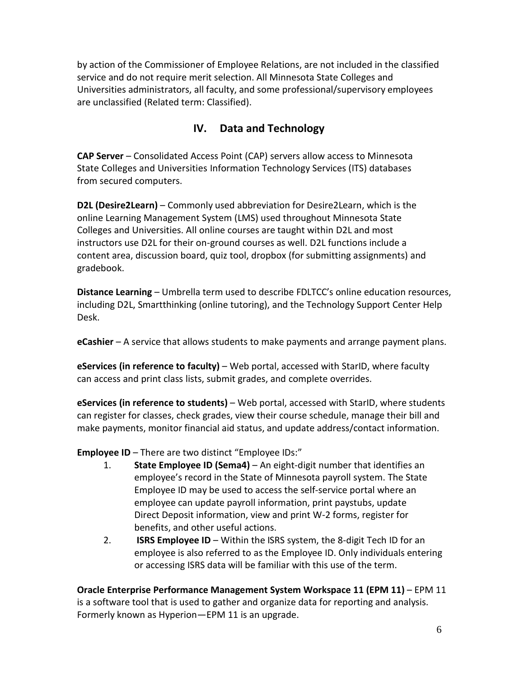by action of the Commissioner of Employee Relations, are not included in the classified service and do not require merit selection. All Minnesota State Colleges and Universities administrators, all faculty, and some professional/supervisory employees are unclassified (Related term: Classified).

# **IV. Data and Technology**

**CAP Server** – Consolidated Access Point (CAP) servers allow access to Minnesota State Colleges and Universities Information Technology Services (ITS) databases from secured computers.

**D2L (Desire2Learn)** – Commonly used abbreviation for Desire2Learn, which is the online Learning Management System (LMS) used throughout Minnesota State Colleges and Universities. All online courses are taught within D2L and most instructors use D2L for their on-ground courses as well. D2L functions include a content area, discussion board, quiz tool, dropbox (for submitting assignments) and gradebook.

**Distance Learning** – Umbrella term used to describe FDLTCC's online education resources, including D2L, Smartthinking (online tutoring), and the Technology Support Center Help Desk.

**eCashier** – A service that allows students to make payments and arrange payment plans.

**eServices (in reference to faculty)** – Web portal, accessed with StarID, where faculty can access and print class lists, submit grades, and complete overrides.

**eServices (in reference to students)** – Web portal, accessed with StarID, where students can register for classes, check grades, view their course schedule, manage their bill and make payments, monitor financial aid status, and update address/contact information.

**Employee ID** – There are two distinct "Employee IDs:"

- 1. **State Employee ID (Sema4)** An eight-digit number that identifies an employee's record in the State of Minnesota payroll system. The State Employee ID may be used to access the self-service portal where an employee can update payroll information, print paystubs, update Direct Deposit information, view and print W-2 forms, register for benefits, and other useful actions.
- 2. **ISRS Employee ID** Within the ISRS system, the 8-digit Tech ID for an employee is also referred to as the Employee ID. Only individuals entering or accessing ISRS data will be familiar with this use of the term.

**Oracle Enterprise Performance Management System Workspace 11 (EPM 11)** – EPM 11 is a software tool that is used to gather and organize data for reporting and analysis. Formerly known as Hyperion—EPM 11 is an upgrade.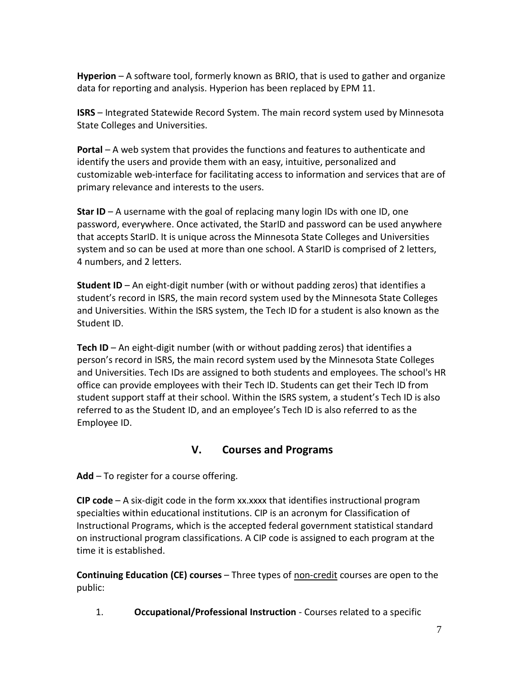**Hyperion** – A software tool, formerly known as BRIO, that is used to gather and organize data for reporting and analysis. Hyperion has been replaced by EPM 11.

**ISRS** – Integrated Statewide Record System. The main record system used by Minnesota State Colleges and Universities.

**Portal** – A web system that provides the functions and features to authenticate and identify the users and provide them with an easy, intuitive, personalized and customizable web-interface for facilitating access to information and services that are of primary relevance and interests to the users.

**Star ID** – A username with the goal of replacing many login IDs with one ID, one password, everywhere. Once activated, the StarID and password can be used anywhere that accepts StarID. It is unique across the Minnesota State Colleges and Universities system and so can be used at more than one school. A StarID is comprised of 2 letters, 4 numbers, and 2 letters.

**Student ID** – An eight-digit number (with or without padding zeros) that identifies a student's record in ISRS, the main record system used by the Minnesota State Colleges and Universities. Within the ISRS system, the Tech ID for a student is also known as the Student ID.

**Tech ID** – An eight-digit number (with or without padding zeros) that identifies a person's record in ISRS, the main record system used by the Minnesota State Colleges and Universities. Tech IDs are assigned to both students and employees. The school's HR office can provide employees with their Tech ID. Students can get their Tech ID from student support staff at their school. Within the ISRS system, a student's Tech ID is also referred to as the Student ID, and an employee's Tech ID is also referred to as the Employee ID.

## **V. Courses and Programs**

Add – To register for a course offering.

**CIP code** – A six-digit code in the form xx.xxxx that identifies instructional program specialties within educational institutions. CIP is an acronym for Classification of Instructional Programs, which is the accepted federal government statistical standard on instructional program classifications. A CIP code is assigned to each program at the time it is established.

**Continuing Education (CE) courses** – Three types of non-credit courses are open to the public:

1. **Occupational/Professional Instruction** - Courses related to a specific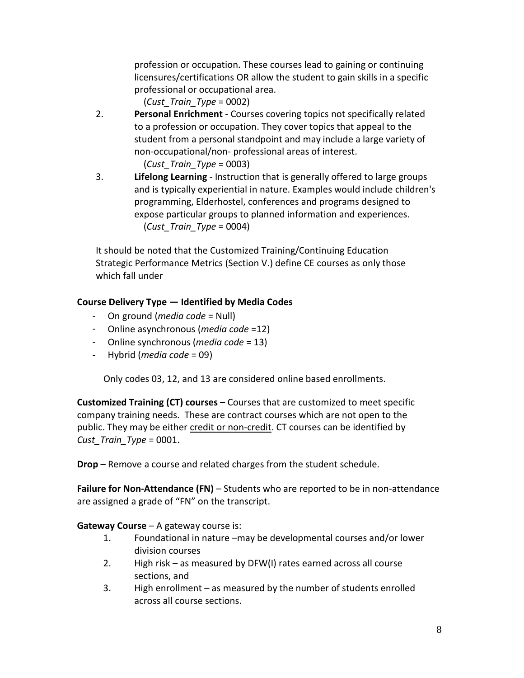profession or occupation. These courses lead to gaining or continuing licensures/certifications OR allow the student to gain skills in a specific professional or occupational area.

(*Cust\_Train\_Type* = 0002)

2. **Personal Enrichment** - Courses covering topics not specifically related to a profession or occupation. They cover topics that appeal to the student from a personal standpoint and may include a large variety of non-occupational/non- professional areas of interest.

(*Cust\_Train\_Type* = 0003)

3. **Lifelong Learning** - Instruction that is generally offered to large groups and is typically experiential in nature. Examples would include children's programming, Elderhostel, conferences and programs designed to expose particular groups to planned information and experiences. (*Cust\_Train\_Type* = 0004)

It should be noted that the Customized Training/Continuing Education Strategic Performance Metrics (Section V.) define CE courses as only those which fall under

## **Course Delivery Type — Identified by Media Codes**

- On ground (*media code* = Null)
- Online asynchronous (*media code* =12)
- Online synchronous (*media code* = 13)
- Hybrid (*media code* = 09)

Only codes 03, 12, and 13 are considered online based enrollments.

**Customized Training (CT) courses** – Courses that are customized to meet specific company training needs. These are contract courses which are not open to the public. They may be either credit or non-credit. CT courses can be identified by *Cust\_Train\_Type* = 0001.

**Drop** – Remove a course and related charges from the student schedule.

**Failure for Non-Attendance (FN)** – Students who are reported to be in non-attendance are assigned a grade of "FN" on the transcript.

**Gateway Course** – A gateway course is:

- 1. Foundational in nature –may be developmental courses and/or lower division courses
- 2. High risk as measured by DFW(I) rates earned across all course sections, and
- 3. High enrollment as measured by the number of students enrolled across all course sections.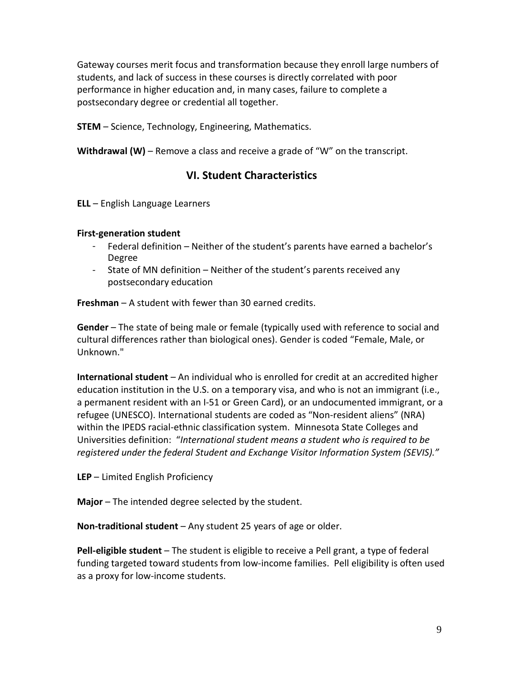Gateway courses merit focus and transformation because they enroll large numbers of students, and lack of success in these courses is directly correlated with poor performance in higher education and, in many cases, failure to complete a postsecondary degree or credential all together.

**STEM** – Science, Technology, Engineering, Mathematics.

Withdrawal (W) – Remove a class and receive a grade of "W" on the transcript.

## **VI. Student Characteristics**

**ELL** – English Language Learners

#### **First-generation student**

- Federal definition Neither of the student's parents have earned a bachelor's Degree
- State of MN definition Neither of the student's parents received any postsecondary education

**Freshman** – A student with fewer than 30 earned credits.

**Gender** – The state of being male or female (typically used with reference to social and cultural differences rather than biological ones). Gender is coded "Female, Male, or Unknown."

**International student** – An individual who is enrolled for credit at an accredited higher education institution in the U.S. on a temporary visa, and who is not an immigrant (i.e., a permanent resident with an I-51 or Green Card), or an undocumented immigrant, or a refugee (UNESCO). International students are coded as "Non-resident aliens" (NRA) within the IPEDS racial-ethnic classification system. Minnesota State Colleges and Universities definition: "*International student means a student who is required to be registered under the federal Student and Exchange Visitor Information System (SEVIS)."*

**LEP** – Limited English Proficiency

**Major** – The intended degree selected by the student.

**Non-traditional student** – Any student 25 years of age or older.

**Pell-eligible student** – The student is eligible to receive a Pell grant, a type of federal funding targeted toward students from low-income families. Pell eligibility is often used as a proxy for low-income students.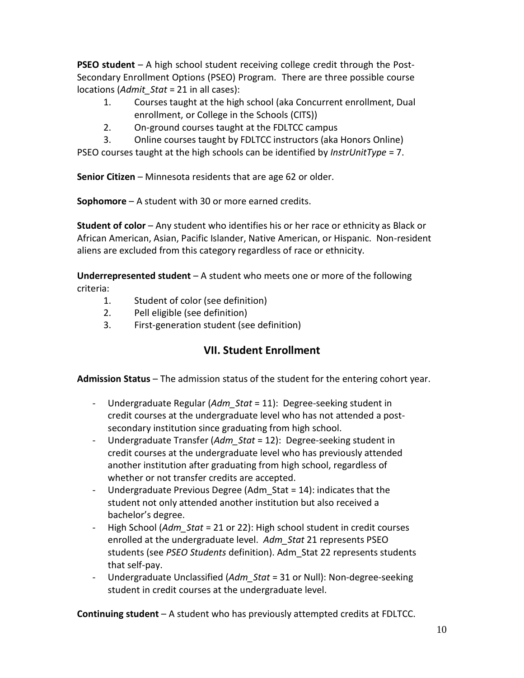**PSEO student** – A high school student receiving college credit through the Post-Secondary Enrollment Options (PSEO) Program. There are three possible course locations (*Admit\_Stat* = 21 in all cases):

- 1. Courses taught at the high school (aka Concurrent enrollment, Dual enrollment, or College in the Schools (CITS))
- 2. On-ground courses taught at the FDLTCC campus
- 3. Online courses taught by FDLTCC instructors (aka Honors Online)

PSEO courses taught at the high schools can be identified by *InstrUnitType* = 7.

**Senior Citizen** – Minnesota residents that are age 62 or older.

**Sophomore** – A student with 30 or more earned credits.

**Student of color** – Any student who identifies his or her race or ethnicity as Black or African American, Asian, Pacific Islander, Native American, or Hispanic. Non-resident aliens are excluded from this category regardless of race or ethnicity.

**Underrepresented student** – A student who meets one or more of the following criteria:

- 1. Student of color (see definition)
- 2. Pell eligible (see definition)
- 3. First-generation student (see definition)

## **VII. Student Enrollment**

**Admission Status** – The admission status of the student for the entering cohort year.

- Undergraduate Regular (*Adm\_Stat* = 11): Degree-seeking student in credit courses at the undergraduate level who has not attended a postsecondary institution since graduating from high school.
- Undergraduate Transfer (*Adm\_Stat* = 12): Degree-seeking student in credit courses at the undergraduate level who has previously attended another institution after graduating from high school, regardless of whether or not transfer credits are accepted.
- Undergraduate Previous Degree (Adm\_Stat = 14): indicates that the student not only attended another institution but also received a bachelor's degree.
- High School (*Adm Stat* = 21 or 22): High school student in credit courses enrolled at the undergraduate level. *Adm\_Stat* 21 represents PSEO students (see *PSEO Students* definition). Adm\_Stat 22 represents students that self-pay.
- Undergraduate Unclassified (*Adm\_Stat* = 31 or Null): Non-degree-seeking student in credit courses at the undergraduate level.

**Continuing student** – A student who has previously attempted credits at FDLTCC.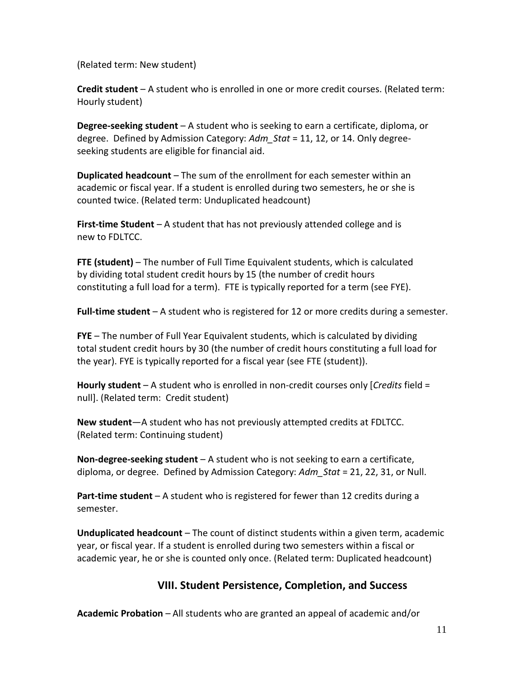(Related term: New student)

**Credit student** – A student who is enrolled in one or more credit courses. (Related term: Hourly student)

**Degree-seeking student** – A student who is seeking to earn a certificate, diploma, or degree. Defined by Admission Category: *Adm\_Stat* = 11, 12, or 14. Only degreeseeking students are eligible for financial aid.

**Duplicated headcount** – The sum of the enrollment for each semester within an academic or fiscal year. If a student is enrolled during two semesters, he or she is counted twice. (Related term: Unduplicated headcount)

**First-time Student** – A student that has not previously attended college and is new to FDLTCC.

**FTE (student)** – The number of Full Time Equivalent students, which is calculated by dividing total student credit hours by 15 (the number of credit hours constituting a full load for a term). FTE is typically reported for a term (see FYE).

**Full-time student** – A student who is registered for 12 or more credits during a semester.

**FYE** – The number of Full Year Equivalent students, which is calculated by dividing total student credit hours by 30 (the number of credit hours constituting a full load for the year). FYE is typically reported for a fiscal year (see FTE (student)).

**Hourly student** – A student who is enrolled in non-credit courses only [*Credits* field = null]. (Related term: Credit student)

**New student**—A student who has not previously attempted credits at FDLTCC. (Related term: Continuing student)

**Non-degree-seeking student** – A student who is not seeking to earn a certificate, diploma, or degree. Defined by Admission Category: *Adm\_Stat* = 21, 22, 31, or Null.

**Part-time student** – A student who is registered for fewer than 12 credits during a semester.

**Unduplicated headcount** – The count of distinct students within a given term, academic year, or fiscal year. If a student is enrolled during two semesters within a fiscal or academic year, he or she is counted only once. (Related term: Duplicated headcount)

## **VIII. Student Persistence, Completion, and Success**

**Academic Probation** – All students who are granted an appeal of academic and/or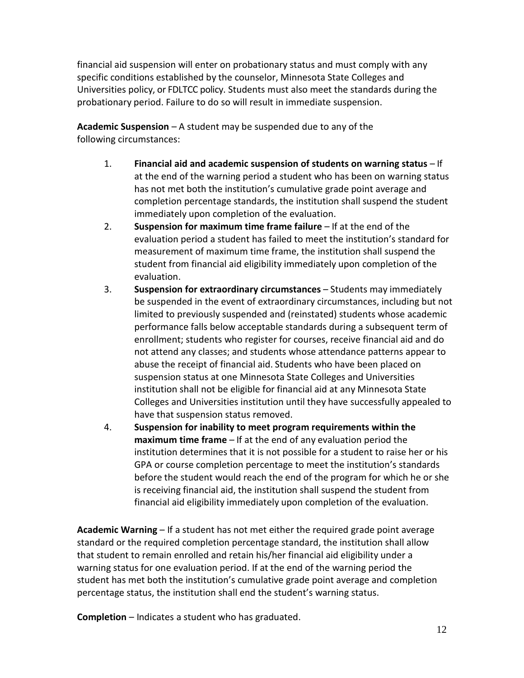financial aid suspension will enter on probationary status and must comply with any specific conditions established by the counselor, Minnesota State Colleges and Universities policy, or FDLTCC policy. Students must also meet the standards during the probationary period. Failure to do so will result in immediate suspension.

**Academic Suspension** – A student may be suspended due to any of the following circumstances:

- 1. **Financial aid and academic suspension of students on warning status** If at the end of the warning period a student who has been on warning status has not met both the institution's cumulative grade point average and completion percentage standards, the institution shall suspend the student immediately upon completion of the evaluation.
- 2. **Suspension for maximum time frame failure** If at the end of the evaluation period a student has failed to meet the institution's standard for measurement of maximum time frame, the institution shall suspend the student from financial aid eligibility immediately upon completion of the evaluation.
- 3. **Suspension for extraordinary circumstances** Students may immediately be suspended in the event of extraordinary circumstances, including but not limited to previously suspended and (reinstated) students whose academic performance falls below acceptable standards during a subsequent term of enrollment; students who register for courses, receive financial aid and do not attend any classes; and students whose attendance patterns appear to abuse the receipt of financial aid. Students who have been placed on suspension status at one Minnesota State Colleges and Universities institution shall not be eligible for financial aid at any Minnesota State Colleges and Universities institution until they have successfully appealed to have that suspension status removed.
- 4. **Suspension for inability to meet program requirements within the maximum time frame** – If at the end of any evaluation period the institution determines that it is not possible for a student to raise her or his GPA or course completion percentage to meet the institution's standards before the student would reach the end of the program for which he or she is receiving financial aid, the institution shall suspend the student from financial aid eligibility immediately upon completion of the evaluation.

**Academic Warning** – If a student has not met either the required grade point average standard or the required completion percentage standard, the institution shall allow that student to remain enrolled and retain his/her financial aid eligibility under a warning status for one evaluation period. If at the end of the warning period the student has met both the institution's cumulative grade point average and completion percentage status, the institution shall end the student's warning status.

**Completion** – Indicates a student who has graduated.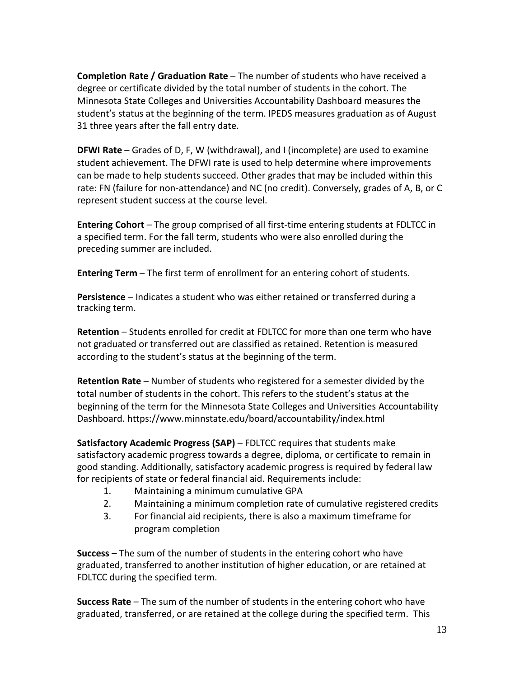**Completion Rate / Graduation Rate** – The number of students who have received a degree or certificate divided by the total number of students in the cohort. The Minnesota State Colleges and Universities Accountability Dashboard measures the student's status at the beginning of the term. IPEDS measures graduation as of August 31 three years after the fall entry date.

**DFWI Rate** – Grades of D, F, W (withdrawal), and I (incomplete) are used to examine student achievement. The DFWI rate is used to help determine where improvements can be made to help students succeed. Other grades that may be included within this rate: FN (failure for non-attendance) and NC (no credit). Conversely, grades of A, B, or C represent student success at the course level.

**Entering Cohort** – The group comprised of all first-time entering students at FDLTCC in a specified term. For the fall term, students who were also enrolled during the preceding summer are included.

**Entering Term** – The first term of enrollment for an entering cohort of students.

**Persistence** – Indicates a student who was either retained or transferred during a tracking term.

**Retention** – Students enrolled for credit at FDLTCC for more than one term who have not graduated or transferred out are classified as retained. Retention is measured according to the student's status at the beginning of the term.

**Retention Rate** – Number of students who registered for a semester divided by the total number of students in the cohort. This refers to the student's status at the beginning of the term for the Minnesota State Colleges and Universities Accountability Dashboard[. https://www.minnstate.edu/board/accountability/index.html](https://www.minnstate.edu/board/accountability/index.html) 

**Satisfactory Academic Progress (SAP)** – FDLTCC requires that students make satisfactory academic progress towards a degree, diploma, or certificate to remain in good standing. Additionally, satisfactory academic progress is required by federal law for recipients of state or federal financial aid. Requirements include:

- 1. Maintaining a minimum cumulative GPA
- 2. Maintaining a minimum completion rate of cumulative registered credits
- 3. For financial aid recipients, there is also a maximum timeframe for program completion

**Success** – The sum of the number of students in the entering cohort who have graduated, transferred to another institution of higher education, or are retained at FDLTCC during the specified term.

**Success Rate** – The sum of the number of students in the entering cohort who have graduated, transferred, or are retained at the college during the specified term. This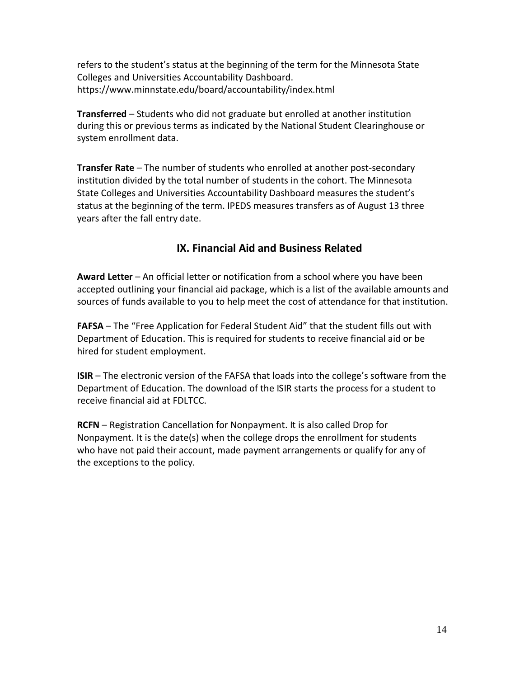refers to the student's status at the beginning of the term for the Minnesota State Colleges and Universities Accountability Dashboard. <https://www.minnstate.edu/board/accountability/index.html>

**Transferred** – Students who did not graduate but enrolled at another institution during this or previous terms as indicated by the National Student Clearinghouse or system enrollment data.

**Transfer Rate** – The number of students who enrolled at another post-secondary institution divided by the total number of students in the cohort. The Minnesota State Colleges and Universities Accountability Dashboard measures the student's status at the beginning of the term. IPEDS measures transfers as of August 13 three years after the fall entry date.

## **IX. Financial Aid and Business Related**

**Award Letter** – An official letter or notification from a school where you have been accepted outlining your financial aid package, which is a list of the available amounts and sources of funds available to you to help meet the cost of attendance for that institution.

**FAFSA** – The "Free Application for Federal Student Aid" that the student fills out with Department of Education. This is required for students to receive financial aid or be hired for student employment.

**ISIR** – The electronic version of the FAFSA that loads into the college's software from the Department of Education. The download of the ISIR starts the process for a student to receive financial aid at FDLTCC.

**RCFN** – Registration Cancellation for Nonpayment. It is also called Drop for Nonpayment. It is the date(s) when the college drops the enrollment for students who have not paid their account, made payment arrangements or qualify for any of the exceptions to the policy.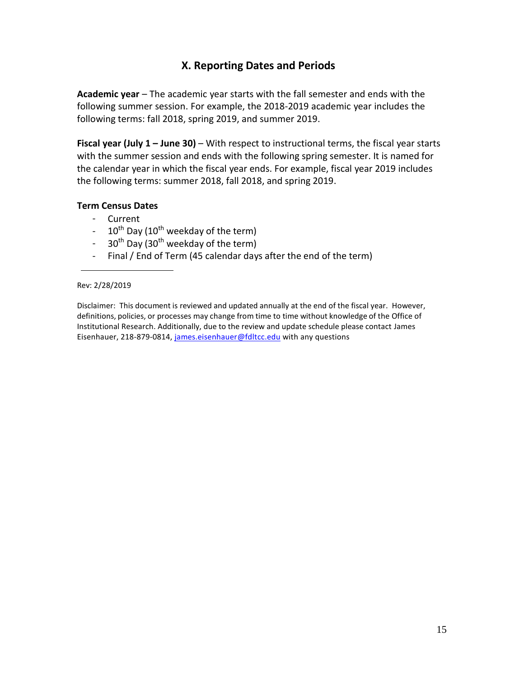## **X. Reporting Dates and Periods**

**Academic year** – The academic year starts with the fall semester and ends with the following summer session. For example, the 2018-2019 academic year includes the following terms: fall 2018, spring 2019, and summer 2019.

**Fiscal year (July 1 – June 30)** – With respect to instructional terms, the fiscal year starts with the summer session and ends with the following spring semester. It is named for the calendar year in which the fiscal year ends. For example, fiscal year 2019 includes the following terms: summer 2018, fall 2018, and spring 2019.

### **Term Census Dates**

- Current
- $-10^{th}$  Day (10<sup>th</sup> weekday of the term)
- $30<sup>th</sup>$  Day (30<sup>th</sup> weekday of the term)
- Final / End of Term (45 calendar days after the end of the term)

Disclaimer: This document is reviewed and updated annually at the end of the fiscal year. However, definitions, policies, or processes may change from time to time without knowledge of the Office of Institutional Research. Additionally, due to the review and update schedule please contact James Eisenhauer, 218-879-0814, [james.eisenhauer@fdltcc.edu](mailto:james.eisenhauer@fdltcc.edu) with any questions

Rev: 2/28/2019